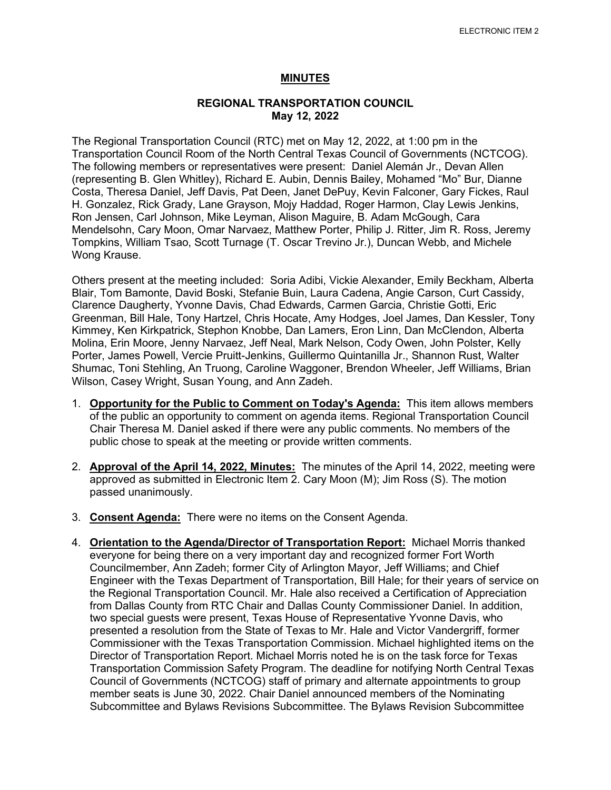## **MINUTES**

## **REGIONAL TRANSPORTATION COUNCIL May 12, 2022**

The Regional Transportation Council (RTC) met on May 12, 2022, at 1:00 pm in the Transportation Council Room of the North Central Texas Council of Governments (NCTCOG). The following members or representatives were present: Daniel Alemán Jr., Devan Allen (representing B. Glen Whitley), Richard E. Aubin, Dennis Bailey, Mohamed "Mo" Bur, Dianne Costa, Theresa Daniel, Jeff Davis, Pat Deen, Janet DePuy, Kevin Falconer, Gary Fickes, Raul H. Gonzalez, Rick Grady, Lane Grayson, Mojy Haddad, Roger Harmon, Clay Lewis Jenkins, Ron Jensen, Carl Johnson, Mike Leyman, Alison Maguire, B. Adam McGough, Cara Mendelsohn, Cary Moon, Omar Narvaez, Matthew Porter, Philip J. Ritter, Jim R. Ross, Jeremy Tompkins, William Tsao, Scott Turnage (T. Oscar Trevino Jr.), Duncan Webb, and Michele Wong Krause.

Others present at the meeting included: Soria Adibi, Vickie Alexander, Emily Beckham, Alberta Blair, Tom Bamonte, David Boski, Stefanie Buin, Laura Cadena, Angie Carson, Curt Cassidy, Clarence Daugherty, Yvonne Davis, Chad Edwards, Carmen Garcia, Christie Gotti, Eric Greenman, Bill Hale, Tony Hartzel, Chris Hocate, Amy Hodges, Joel James, Dan Kessler, Tony Kimmey, Ken Kirkpatrick, Stephon Knobbe, Dan Lamers, Eron Linn, Dan McClendon, Alberta Molina, Erin Moore, Jenny Narvaez, Jeff Neal, Mark Nelson, Cody Owen, John Polster, Kelly Porter, James Powell, Vercie Pruitt-Jenkins, Guillermo Quintanilla Jr., Shannon Rust, Walter Shumac, Toni Stehling, An Truong, Caroline Waggoner, Brendon Wheeler, Jeff Williams, Brian Wilson, Casey Wright, Susan Young, and Ann Zadeh.

- 1. **Opportunity for the Public to Comment on Today's Agenda:** This item allows members of the public an opportunity to comment on agenda items. Regional Transportation Council Chair Theresa M. Daniel asked if there were any public comments. No members of the public chose to speak at the meeting or provide written comments.
- 2. **Approval of the April 14, 2022, Minutes:** The minutes of the April 14, 2022, meeting were approved as submitted in Electronic Item 2. Cary Moon (M); Jim Ross (S). The motion passed unanimously.
- 3. **Consent Agenda:** There were no items on the Consent Agenda.
- 4. **Orientation to the Agenda/Director of Transportation Report:** Michael Morris thanked everyone for being there on a very important day and recognized former Fort Worth Councilmember, Ann Zadeh; former City of Arlington Mayor, Jeff Williams; and Chief Engineer with the Texas Department of Transportation, Bill Hale; for their years of service on the Regional Transportation Council. Mr. Hale also received a Certification of Appreciation from Dallas County from RTC Chair and Dallas County Commissioner Daniel. In addition, two special guests were present, Texas House of Representative Yvonne Davis, who presented a resolution from the State of Texas to Mr. Hale and Victor Vandergriff, former Commissioner with the Texas Transportation Commission. Michael highlighted items on the Director of Transportation Report. Michael Morris noted he is on the task force for Texas Transportation Commission Safety Program. The deadline for notifying North Central Texas Council of Governments (NCTCOG) staff of primary and alternate appointments to group member seats is June 30, 2022. Chair Daniel announced members of the Nominating Subcommittee and Bylaws Revisions Subcommittee. The Bylaws Revision Subcommittee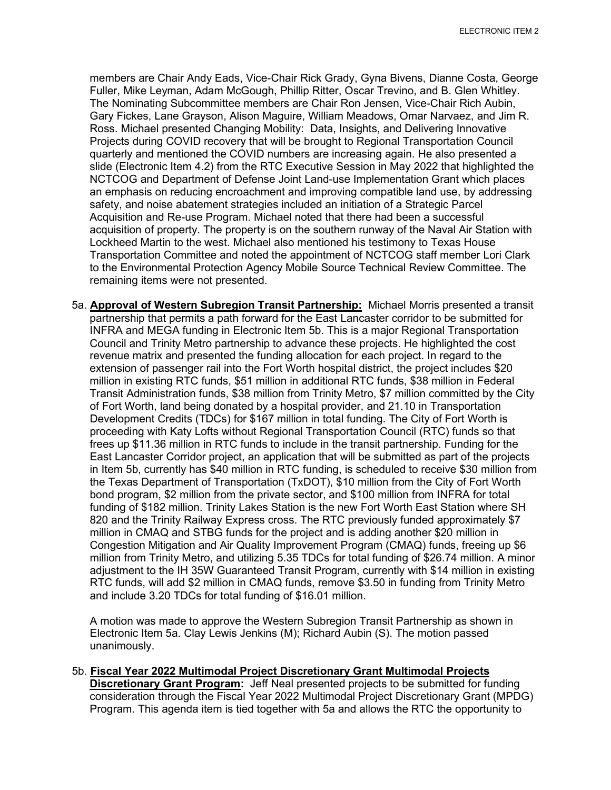members are Chair Andy Eads, Vice-Chair Rick Grady, Gyna Bivens, Dianne Costa, George Fuller, Mike Leyman, Adam McGough, Phillip Ritter, Oscar Trevino, and B. Glen Whitley. The Nominating Subcommittee members are Chair Ron Jensen, Vice-Chair Rich Aubin, Gary Fickes, Lane Grayson, Alison Maguire, William Meadows, Omar Narvaez, and Jim R. Ross. Michael presented Changing Mobility: Data, Insights, and Delivering Innovative Projects during COVID recovery that will be brought to Regional Transportation Council quarterly and mentioned the COVID numbers are increasing again. He also presented a slide (Electronic Item 4.2) from the RTC Executive Session in May 2022 that highlighted the NCTCOG and Department of Defense Joint Land-use Implementation Grant which places an emphasis on reducing encroachment and improving compatible land use, by addressing safety, and noise abatement strategies included an initiation of a Strategic Parcel Acquisition and Re-use Program. Michael noted that there had been a successful acquisition of property. The property is on the southern runway of the Naval Air Station with Lockheed Martin to the west. Michael also mentioned his testimony to Texas House Transportation Committee and noted the appointment of NCTCOG staff member Lori Clark to the Environmental Protection Agency Mobile Source Technical Review Committee. The remaining items were not presented.

5a. **Approval of Western Subregion Transit Partnership:** Michael Morris presented a transit partnership that permits a path forward for the East Lancaster corridor to be submitted for INFRA and MEGA funding in Electronic Item 5b. This is a major Regional Transportation Council and Trinity Metro partnership to advance these projects. He highlighted the cost revenue matrix and presented the funding allocation for each project. In regard to the extension of passenger rail into the Fort Worth hospital district, the project includes \$20 million in existing RTC funds, \$51 million in additional RTC funds, \$38 million in Federal Transit Administration funds, \$38 million from Trinity Metro, \$7 million committed by the City of Fort Worth, land being donated by a hospital provider, and 21.10 in Transportation Development Credits (TDCs) for \$167 million in total funding. The City of Fort Worth is proceeding with Katy Lofts without Regional Transportation Council (RTC) funds so that frees up \$11.36 million in RTC funds to include in the transit partnership. Funding for the East Lancaster Corridor project, an application that will be submitted as part of the projects in Item 5b, currently has \$40 million in RTC funding, is scheduled to receive \$30 million from the Texas Department of Transportation (TxDOT), \$10 million from the City of Fort Worth bond program, \$2 million from the private sector, and \$100 million from INFRA for total funding of \$182 million. Trinity Lakes Station is the new Fort Worth East Station where SH 820 and the Trinity Railway Express cross. The RTC previously funded approximately \$7 million in CMAQ and STBG funds for the project and is adding another \$20 million in Congestion Mitigation and Air Quality Improvement Program (CMAQ) funds, freeing up \$6 million from Trinity Metro, and utilizing 5.35 TDCs for total funding of \$26.74 million. A minor adjustment to the IH 35W Guaranteed Transit Program, currently with \$14 million in existing RTC funds, will add \$2 million in CMAQ funds, remove \$3.50 in funding from Trinity Metro and include 3.20 TDCs for total funding of \$16.01 million.

A motion was made to approve the Western Subregion Transit Partnership as shown in Electronic Item 5a. Clay Lewis Jenkins (M); Richard Aubin (S). The motion passed unanimously.

5b. **Fiscal Year 2022 Multimodal Project Discretionary Grant Multimodal Projects Discretionary Grant Program:** Jeff Neal presented projects to be submitted for funding consideration through the Fiscal Year 2022 Multimodal Project Discretionary Grant (MPDG) Program. This agenda item is tied together with 5a and allows the RTC the opportunity to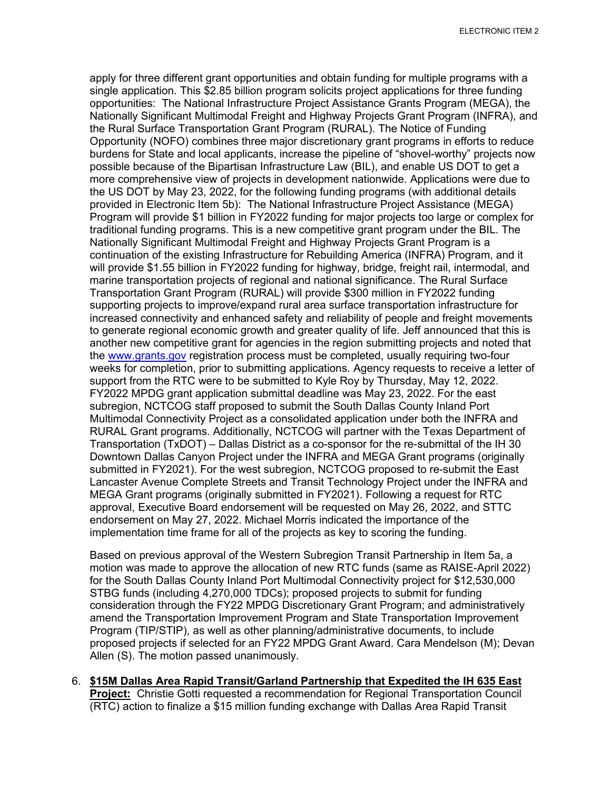apply for three different grant opportunities and obtain funding for multiple programs with a single application. This \$2.85 billion program solicits project applications for three funding opportunities: The National Infrastructure Project Assistance Grants Program (MEGA), the Nationally Significant Multimodal Freight and Highway Projects Grant Program (INFRA), and the Rural Surface Transportation Grant Program (RURAL). The Notice of Funding Opportunity (NOFO) combines three major discretionary grant programs in efforts to reduce burdens for State and local applicants, increase the pipeline of "shovel-worthy" projects now possible because of the Bipartisan Infrastructure Law (BIL), and enable US DOT to get a more comprehensive view of projects in development nationwide. Applications were due to the US DOT by May 23, 2022, for the following funding programs (with additional details provided in Electronic Item 5b): The National Infrastructure Project Assistance (MEGA) Program will provide \$1 billion in FY2022 funding for major projects too large or complex for traditional funding programs. This is a new competitive grant program under the BIL. The Nationally Significant Multimodal Freight and Highway Projects Grant Program is a continuation of the existing Infrastructure for Rebuilding America (INFRA) Program, and it will provide \$1.55 billion in FY2022 funding for highway, bridge, freight rail, intermodal, and marine transportation projects of regional and national significance. The Rural Surface Transportation Grant Program (RURAL) will provide \$300 million in FY2022 funding supporting projects to improve/expand rural area surface transportation infrastructure for increased connectivity and enhanced safety and reliability of people and freight movements to generate regional economic growth and greater quality of life. Jeff announced that this is another new competitive grant for agencies in the region submitting projects and noted that the [www.grants.gov](http://www.grants.gov/) registration process must be completed, usually requiring two-four weeks for completion, prior to submitting applications. Agency requests to receive a letter of support from the RTC were to be submitted to Kyle Roy by Thursday, May 12, 2022. FY2022 MPDG grant application submittal deadline was May 23, 2022. For the east subregion, NCTCOG staff proposed to submit the South Dallas County Inland Port Multimodal Connectivity Project as a consolidated application under both the INFRA and RURAL Grant programs. Additionally, NCTCOG will partner with the Texas Department of Transportation (TxDOT) – Dallas District as a co-sponsor for the re-submittal of the IH 30 Downtown Dallas Canyon Project under the INFRA and MEGA Grant programs (originally submitted in FY2021). For the west subregion, NCTCOG proposed to re-submit the East Lancaster Avenue Complete Streets and Transit Technology Project under the INFRA and MEGA Grant programs (originally submitted in FY2021). Following a request for RTC approval, Executive Board endorsement will be requested on May 26, 2022, and STTC endorsement on May 27, 2022. Michael Morris indicated the importance of the implementation time frame for all of the projects as key to scoring the funding.

Based on previous approval of the Western Subregion Transit Partnership in Item 5a, a motion was made to approve the allocation of new RTC funds (same as RAISE-April 2022) for the South Dallas County Inland Port Multimodal Connectivity project for \$12,530,000 STBG funds (including 4,270,000 TDCs); proposed projects to submit for funding consideration through the FY22 MPDG Discretionary Grant Program; and administratively amend the Transportation Improvement Program and State Transportation Improvement Program (TIP/STIP), as well as other planning/administrative documents, to include proposed projects if selected for an FY22 MPDG Grant Award. Cara Mendelson (M); Devan Allen (S). The motion passed unanimously.

6. **\$15M Dallas Area Rapid Transit/Garland Partnership that Expedited the IH 635 East Project:** Christie Gotti requested a recommendation for Regional Transportation Council (RTC) action to finalize a \$15 million funding exchange with Dallas Area Rapid Transit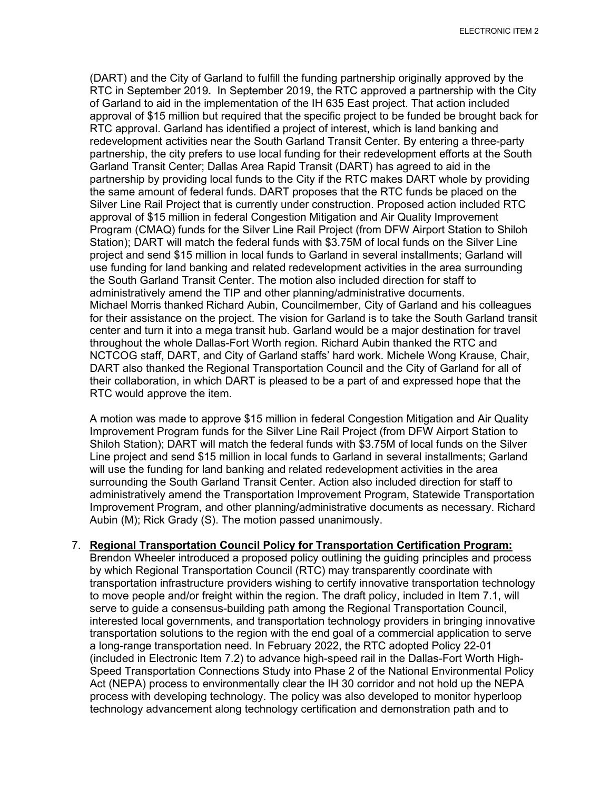(DART) and the City of Garland to fulfill the funding partnership originally approved by the RTC in September 2019**.** In September 2019, the RTC approved a partnership with the City of Garland to aid in the implementation of the IH 635 East project. That action included approval of \$15 million but required that the specific project to be funded be brought back for RTC approval. Garland has identified a project of interest, which is land banking and redevelopment activities near the South Garland Transit Center. By entering a three-party partnership, the city prefers to use local funding for their redevelopment efforts at the South Garland Transit Center; Dallas Area Rapid Transit (DART) has agreed to aid in the partnership by providing local funds to the City if the RTC makes DART whole by providing the same amount of federal funds. DART proposes that the RTC funds be placed on the Silver Line Rail Project that is currently under construction. Proposed action included RTC approval of \$15 million in federal Congestion Mitigation and Air Quality Improvement Program (CMAQ) funds for the Silver Line Rail Project (from DFW Airport Station to Shiloh Station); DART will match the federal funds with \$3.75M of local funds on the Silver Line project and send \$15 million in local funds to Garland in several installments; Garland will use funding for land banking and related redevelopment activities in the area surrounding the South Garland Transit Center. The motion also included direction for staff to administratively amend the TIP and other planning/administrative documents. Michael Morris thanked Richard Aubin, Councilmember, City of Garland and his colleagues for their assistance on the project. The vision for Garland is to take the South Garland transit center and turn it into a mega transit hub. Garland would be a major destination for travel throughout the whole Dallas-Fort Worth region. Richard Aubin thanked the RTC and NCTCOG staff, DART, and City of Garland staffs' hard work. Michele Wong Krause, Chair, DART also thanked the Regional Transportation Council and the City of Garland for all of their collaboration, in which DART is pleased to be a part of and expressed hope that the RTC would approve the item.

A motion was made to approve \$15 million in federal Congestion Mitigation and Air Quality Improvement Program funds for the Silver Line Rail Project (from DFW Airport Station to Shiloh Station); DART will match the federal funds with \$3.75M of local funds on the Silver Line project and send \$15 million in local funds to Garland in several installments; Garland will use the funding for land banking and related redevelopment activities in the area surrounding the South Garland Transit Center. Action also included direction for staff to administratively amend the Transportation Improvement Program, Statewide Transportation Improvement Program, and other planning/administrative documents as necessary. Richard Aubin (M); Rick Grady (S). The motion passed unanimously.

## 7. **Regional Transportation Council Policy for Transportation Certification Program:**

Brendon Wheeler introduced a proposed policy outlining the guiding principles and process by which Regional Transportation Council (RTC) may transparently coordinate with transportation infrastructure providers wishing to certify innovative transportation technology to move people and/or freight within the region. The draft policy, included in Item 7.1, will serve to guide a consensus-building path among the Regional Transportation Council, interested local governments, and transportation technology providers in bringing innovative transportation solutions to the region with the end goal of a commercial application to serve a long-range transportation need. In February 2022, the RTC adopted Policy 22-01 (included in Electronic Item 7.2) to advance high-speed rail in the Dallas-Fort Worth High-Speed Transportation Connections Study into Phase 2 of the National Environmental Policy Act (NEPA) process to environmentally clear the IH 30 corridor and not hold up the NEPA process with developing technology. The policy was also developed to monitor hyperloop technology advancement along technology certification and demonstration path and to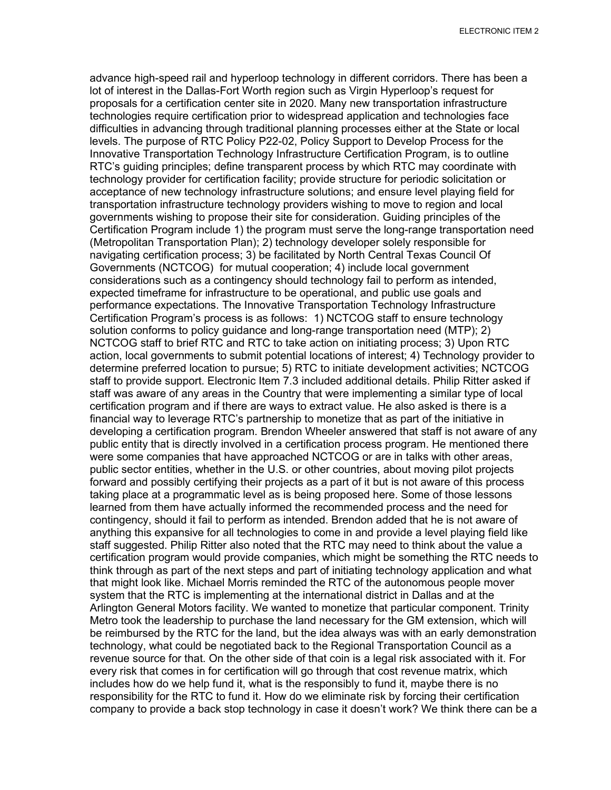advance high-speed rail and hyperloop technology in different corridors. There has been a lot of interest in the Dallas-Fort Worth region such as Virgin Hyperloop's request for proposals for a certification center site in 2020. Many new transportation infrastructure technologies require certification prior to widespread application and technologies face difficulties in advancing through traditional planning processes either at the State or local levels. The purpose of RTC Policy P22-02, Policy Support to Develop Process for the Innovative Transportation Technology Infrastructure Certification Program, is to outline RTC's guiding principles; define transparent process by which RTC may coordinate with technology provider for certification facility; provide structure for periodic solicitation or acceptance of new technology infrastructure solutions; and ensure level playing field for transportation infrastructure technology providers wishing to move to region and local governments wishing to propose their site for consideration. Guiding principles of the Certification Program include 1) the program must serve the long-range transportation need (Metropolitan Transportation Plan); 2) technology developer solely responsible for navigating certification process; 3) be facilitated by North Central Texas Council Of Governments (NCTCOG) for mutual cooperation; 4) include local government considerations such as a contingency should technology fail to perform as intended, expected timeframe for infrastructure to be operational, and public use goals and performance expectations. The Innovative Transportation Technology Infrastructure Certification Program's process is as follows: 1) NCTCOG staff to ensure technology solution conforms to policy guidance and long-range transportation need (MTP); 2) NCTCOG staff to brief RTC and RTC to take action on initiating process; 3) Upon RTC action, local governments to submit potential locations of interest; 4) Technology provider to determine preferred location to pursue; 5) RTC to initiate development activities; NCTCOG staff to provide support. Electronic Item 7.3 included additional details. Philip Ritter asked if staff was aware of any areas in the Country that were implementing a similar type of local certification program and if there are ways to extract value. He also asked is there is a financial way to leverage RTC's partnership to monetize that as part of the initiative in developing a certification program. Brendon Wheeler answered that staff is not aware of any public entity that is directly involved in a certification process program. He mentioned there were some companies that have approached NCTCOG or are in talks with other areas, public sector entities, whether in the U.S. or other countries, about moving pilot projects forward and possibly certifying their projects as a part of it but is not aware of this process taking place at a programmatic level as is being proposed here. Some of those lessons learned from them have actually informed the recommended process and the need for contingency, should it fail to perform as intended. Brendon added that he is not aware of anything this expansive for all technologies to come in and provide a level playing field like staff suggested. Philip Ritter also noted that the RTC may need to think about the value a certification program would provide companies, which might be something the RTC needs to think through as part of the next steps and part of initiating technology application and what that might look like. Michael Morris reminded the RTC of the autonomous people mover system that the RTC is implementing at the international district in Dallas and at the Arlington General Motors facility. We wanted to monetize that particular component. Trinity Metro took the leadership to purchase the land necessary for the GM extension, which will be reimbursed by the RTC for the land, but the idea always was with an early demonstration technology, what could be negotiated back to the Regional Transportation Council as a revenue source for that. On the other side of that coin is a legal risk associated with it. For every risk that comes in for certification will go through that cost revenue matrix, which includes how do we help fund it, what is the responsibly to fund it, maybe there is no responsibility for the RTC to fund it. How do we eliminate risk by forcing their certification company to provide a back stop technology in case it doesn't work? We think there can be a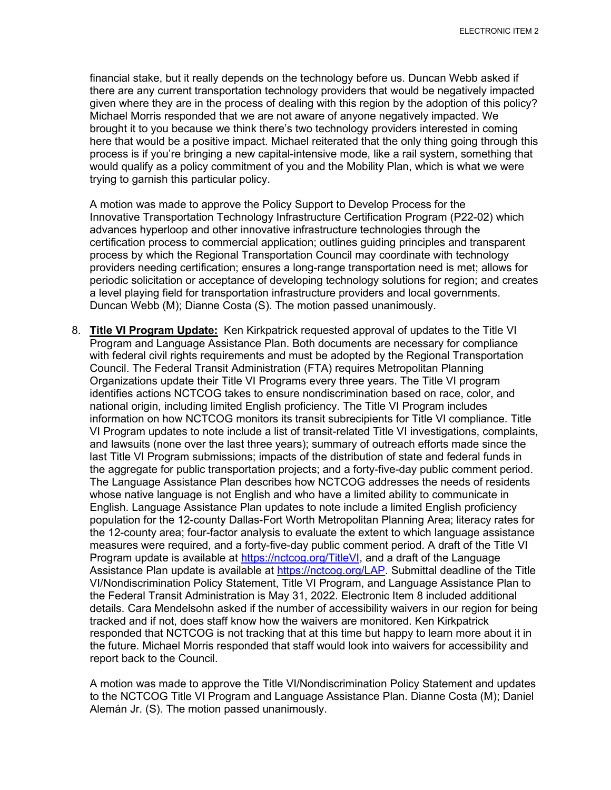financial stake, but it really depends on the technology before us. Duncan Webb asked if there are any current transportation technology providers that would be negatively impacted given where they are in the process of dealing with this region by the adoption of this policy? Michael Morris responded that we are not aware of anyone negatively impacted. We brought it to you because we think there's two technology providers interested in coming here that would be a positive impact. Michael reiterated that the only thing going through this process is if you're bringing a new capital-intensive mode, like a rail system, something that would qualify as a policy commitment of you and the Mobility Plan, which is what we were trying to garnish this particular policy.

A motion was made to approve the Policy Support to Develop Process for the Innovative Transportation Technology Infrastructure Certification Program (P22-02) which advances hyperloop and other innovative infrastructure technologies through the certification process to commercial application; outlines guiding principles and transparent process by which the Regional Transportation Council may coordinate with technology providers needing certification; ensures a long-range transportation need is met; allows for periodic solicitation or acceptance of developing technology solutions for region; and creates a level playing field for transportation infrastructure providers and local governments. Duncan Webb (M); Dianne Costa (S). The motion passed unanimously.

8. **Title VI Program Update:** Ken Kirkpatrick requested approval of updates to the Title VI Program and Language Assistance Plan. Both documents are necessary for compliance with federal civil rights requirements and must be adopted by the Regional Transportation Council. The Federal Transit Administration (FTA) requires Metropolitan Planning Organizations update their Title VI Programs every three years. The Title VI program identifies actions NCTCOG takes to ensure nondiscrimination based on race, color, and national origin, including limited English proficiency. The Title VI Program includes information on how NCTCOG monitors its transit subrecipients for Title VI compliance. Title VI Program updates to note include a list of transit-related Title VI investigations, complaints, and lawsuits (none over the last three years); summary of outreach efforts made since the last Title VI Program submissions; impacts of the distribution of state and federal funds in the aggregate for public transportation projects; and a forty-five-day public comment period. The Language Assistance Plan describes how NCTCOG addresses the needs of residents whose native language is not English and who have a limited ability to communicate in English. Language Assistance Plan updates to note include a limited English proficiency population for the 12-county Dallas-Fort Worth Metropolitan Planning Area; literacy rates for the 12-county area; four-factor analysis to evaluate the extent to which language assistance measures were required, and a forty-five-day public comment period. A draft of the Title VI Program update is available at [https://nctcog.org/TitleVI,](https://nctcog.org/TitleVI) and a draft of the Language Assistance Plan update is available at [https://nctcog.org/LAP.](https://nctcog.org/LAP) Submittal deadline of the Title VI/Nondiscrimination Policy Statement, Title VI Program, and Language Assistance Plan to the Federal Transit Administration is May 31, 2022. Electronic Item 8 included additional details. Cara Mendelsohn asked if the number of accessibility waivers in our region for being tracked and if not, does staff know how the waivers are monitored. Ken Kirkpatrick responded that NCTCOG is not tracking that at this time but happy to learn more about it in the future. Michael Morris responded that staff would look into waivers for accessibility and report back to the Council.

A motion was made to approve the Title VI/Nondiscrimination Policy Statement and updates to the NCTCOG Title VI Program and Language Assistance Plan. Dianne Costa (M); Daniel Alemán Jr. (S). The motion passed unanimously.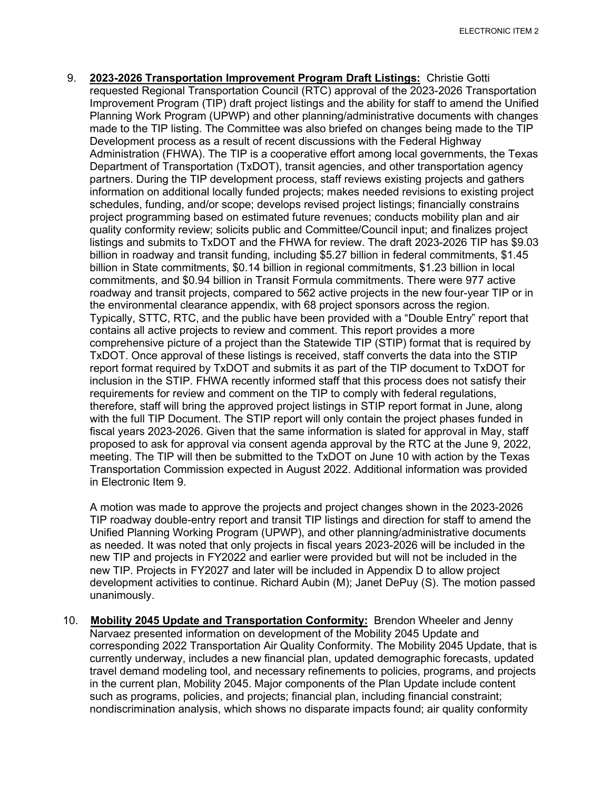9. **2023-2026 Transportation Improvement Program Draft Listings:** Christie Gotti requested Regional Transportation Council (RTC) approval of the 2023-2026 Transportation Improvement Program (TIP) draft project listings and the ability for staff to amend the Unified Planning Work Program (UPWP) and other planning/administrative documents with changes made to the TIP listing. The Committee was also briefed on changes being made to the TIP Development process as a result of recent discussions with the Federal Highway Administration (FHWA). The TIP is a cooperative effort among local governments, the Texas Department of Transportation (TxDOT), transit agencies, and other transportation agency partners. During the TIP development process, staff reviews existing projects and gathers information on additional locally funded projects; makes needed revisions to existing project schedules, funding, and/or scope; develops revised project listings; financially constrains project programming based on estimated future revenues; conducts mobility plan and air quality conformity review; solicits public and Committee/Council input; and finalizes project listings and submits to TxDOT and the FHWA for review. The draft 2023-2026 TIP has \$9.03 billion in roadway and transit funding, including \$5.27 billion in federal commitments, \$1.45 billion in State commitments, \$0.14 billion in regional commitments, \$1.23 billion in local commitments, and \$0.94 billion in Transit Formula commitments. There were 977 active roadway and transit projects, compared to 562 active projects in the new four-year TIP or in the environmental clearance appendix, with 68 project sponsors across the region. Typically, STTC, RTC, and the public have been provided with a "Double Entry" report that contains all active projects to review and comment. This report provides a more comprehensive picture of a project than the Statewide TIP (STIP) format that is required by TxDOT. Once approval of these listings is received, staff converts the data into the STIP report format required by TxDOT and submits it as part of the TIP document to TxDOT for inclusion in the STIP. FHWA recently informed staff that this process does not satisfy their requirements for review and comment on the TIP to comply with federal regulations, therefore, staff will bring the approved project listings in STIP report format in June, along with the full TIP Document. The STIP report will only contain the project phases funded in fiscal years 2023-2026. Given that the same information is slated for approval in May, staff proposed to ask for approval via consent agenda approval by the RTC at the June 9, 2022, meeting. The TIP will then be submitted to the TxDOT on June 10 with action by the Texas Transportation Commission expected in August 2022. Additional information was provided in Electronic Item 9.

A motion was made to approve the projects and project changes shown in the 2023-2026 TIP roadway double-entry report and transit TIP listings and direction for staff to amend the Unified Planning Working Program (UPWP), and other planning/administrative documents as needed. It was noted that only projects in fiscal years 2023-2026 will be included in the new TIP and projects in FY2022 and earlier were provided but will not be included in the new TIP. Projects in FY2027 and later will be included in Appendix D to allow project development activities to continue. Richard Aubin (M); Janet DePuy (S). The motion passed unanimously.

10. **Mobility 2045 Update and Transportation Conformity:** Brendon Wheeler and Jenny Narvaez presented information on development of the Mobility 2045 Update and corresponding 2022 Transportation Air Quality Conformity. The Mobility 2045 Update, that is currently underway, includes a new financial plan, updated demographic forecasts, updated travel demand modeling tool, and necessary refinements to policies, programs, and projects in the current plan, Mobility 2045. Major components of the Plan Update include content such as programs, policies, and projects; financial plan, including financial constraint; nondiscrimination analysis, which shows no disparate impacts found; air quality conformity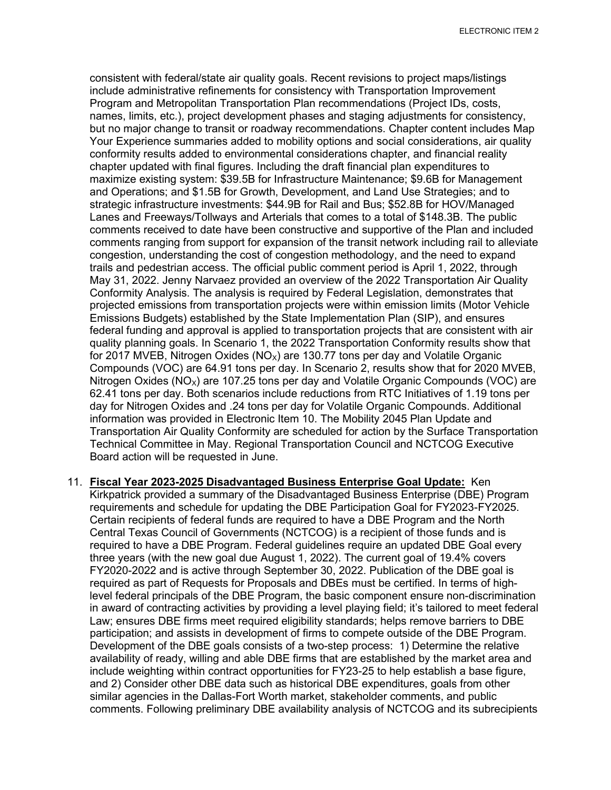ELECTRONIC ITEM 2

consistent with federal/state air quality goals. Recent revisions to project maps/listings include administrative refinements for consistency with Transportation Improvement Program and Metropolitan Transportation Plan recommendations (Project IDs, costs, names, limits, etc.), project development phases and staging adjustments for consistency, but no major change to transit or roadway recommendations. Chapter content includes Map Your Experience summaries added to mobility options and social considerations, air quality conformity results added to environmental considerations chapter, and financial reality chapter updated with final figures. Including the draft financial plan expenditures to maximize existing system: \$39.5B for Infrastructure Maintenance; \$9.6B for Management and Operations; and \$1.5B for Growth, Development, and Land Use Strategies; and to strategic infrastructure investments: \$44.9B for Rail and Bus; \$52.8B for HOV/Managed Lanes and Freeways/Tollways and Arterials that comes to a total of \$148.3B. The public comments received to date have been constructive and supportive of the Plan and included comments ranging from support for expansion of the transit network including rail to alleviate congestion, understanding the cost of congestion methodology, and the need to expand trails and pedestrian access. The official public comment period is April 1, 2022, through May 31, 2022. Jenny Narvaez provided an overview of the 2022 Transportation Air Quality Conformity Analysis. The analysis is required by Federal Legislation, demonstrates that projected emissions from transportation projects were within emission limits (Motor Vehicle Emissions Budgets) established by the State Implementation Plan (SIP), and ensures federal funding and approval is applied to transportation projects that are consistent with air quality planning goals. In Scenario 1, the 2022 Transportation Conformity results show that for 2017 MVEB, Nitrogen Oxides ( $NO<sub>x</sub>$ ) are 130.77 tons per day and Volatile Organic Compounds (VOC) are 64.91 tons per day. In Scenario 2, results show that for 2020 MVEB, Nitrogen Oxides ( $NO_x$ ) are 107.25 tons per day and Volatile Organic Compounds (VOC) are 62.41 tons per day. Both scenarios include reductions from RTC Initiatives of 1.19 tons per day for Nitrogen Oxides and .24 tons per day for Volatile Organic Compounds. Additional information was provided in Electronic Item 10. The Mobility 2045 Plan Update and Transportation Air Quality Conformity are scheduled for action by the Surface Transportation Technical Committee in May. Regional Transportation Council and NCTCOG Executive Board action will be requested in June.

11. **Fiscal Year 2023-2025 Disadvantaged Business Enterprise Goal Update:** Ken Kirkpatrick provided a summary of the Disadvantaged Business Enterprise (DBE) Program requirements and schedule for updating the DBE Participation Goal for FY2023-FY2025. Certain recipients of federal funds are required to have a DBE Program and the North Central Texas Council of Governments (NCTCOG) is a recipient of those funds and is required to have a DBE Program. Federal guidelines require an updated DBE Goal every three years (with the new goal due August 1, 2022). The current goal of 19.4% covers FY2020-2022 and is active through September 30, 2022. Publication of the DBE goal is required as part of Requests for Proposals and DBEs must be certified. In terms of highlevel federal principals of the DBE Program, the basic component ensure non-discrimination in award of contracting activities by providing a level playing field; it's tailored to meet federal Law; ensures DBE firms meet required eligibility standards; helps remove barriers to DBE participation; and assists in development of firms to compete outside of the DBE Program. Development of the DBE goals consists of a two-step process: 1) Determine the relative availability of ready, willing and able DBE firms that are established by the market area and include weighting within contract opportunities for FY23-25 to help establish a base figure, and 2) Consider other DBE data such as historical DBE expenditures, goals from other similar agencies in the Dallas-Fort Worth market, stakeholder comments, and public comments. Following preliminary DBE availability analysis of NCTCOG and its subrecipients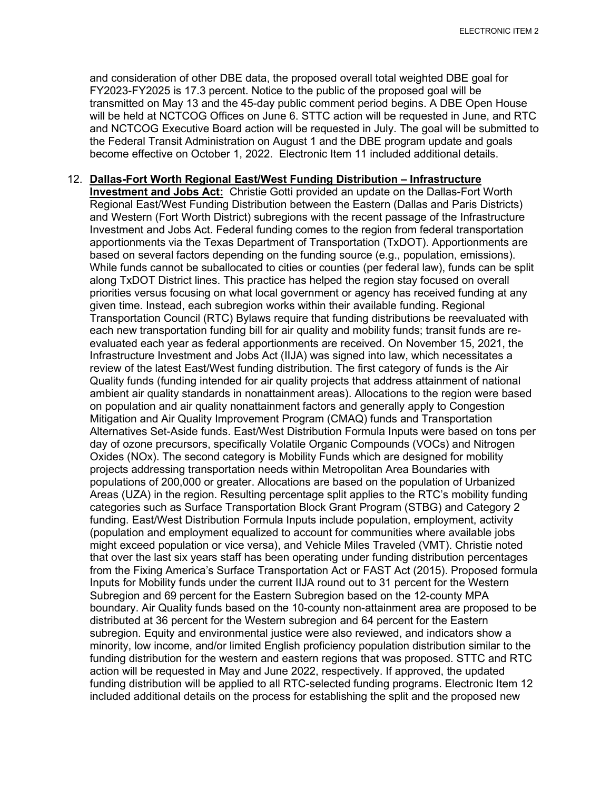and consideration of other DBE data, the proposed overall total weighted DBE goal for FY2023-FY2025 is 17.3 percent. Notice to the public of the proposed goal will be transmitted on May 13 and the 45-day public comment period begins. A DBE Open House will be held at NCTCOG Offices on June 6. STTC action will be requested in June, and RTC and NCTCOG Executive Board action will be requested in July. The goal will be submitted to the Federal Transit Administration on August 1 and the DBE program update and goals become effective on October 1, 2022. Electronic Item 11 included additional details.

## 12. **Dallas-Fort Worth Regional East/West Funding Distribution – Infrastructure Investment and Jobs Act:** Christie Gotti provided an update on the Dallas-Fort Worth Regional East/West Funding Distribution between the Eastern (Dallas and Paris Districts) and Western (Fort Worth District) subregions with the recent passage of the Infrastructure Investment and Jobs Act. Federal funding comes to the region from federal transportation apportionments via the Texas Department of Transportation (TxDOT). Apportionments are based on several factors depending on the funding source (e.g., population, emissions). While funds cannot be suballocated to cities or counties (per federal law), funds can be split along TxDOT District lines. This practice has helped the region stay focused on overall priorities versus focusing on what local government or agency has received funding at any given time. Instead, each subregion works within their available funding. Regional Transportation Council (RTC) Bylaws require that funding distributions be reevaluated with each new transportation funding bill for air quality and mobility funds; transit funds are reevaluated each year as federal apportionments are received. On November 15, 2021, the Infrastructure Investment and Jobs Act (IIJA) was signed into law, which necessitates a review of the latest East/West funding distribution. The first category of funds is the Air Quality funds (funding intended for air quality projects that address attainment of national ambient air quality standards in nonattainment areas). Allocations to the region were based on population and air quality nonattainment factors and generally apply to Congestion Mitigation and Air Quality Improvement Program (CMAQ) funds and Transportation Alternatives Set-Aside funds. East/West Distribution Formula Inputs were based on tons per day of ozone precursors, specifically Volatile Organic Compounds (VOCs) and Nitrogen Oxides (NOx). The second category is Mobility Funds which are designed for mobility projects addressing transportation needs within Metropolitan Area Boundaries with populations of 200,000 or greater. Allocations are based on the population of Urbanized Areas (UZA) in the region. Resulting percentage split applies to the RTC's mobility funding categories such as Surface Transportation Block Grant Program (STBG) and Category 2 funding. East/West Distribution Formula Inputs include population, employment, activity (population and employment equalized to account for communities where available jobs might exceed population or vice versa), and Vehicle Miles Traveled (VMT). Christie noted that over the last six years staff has been operating under funding distribution percentages from the Fixing America's Surface Transportation Act or FAST Act (2015). Proposed formula Inputs for Mobility funds under the current IIJA round out to 31 percent for the Western Subregion and 69 percent for the Eastern Subregion based on the 12-county MPA boundary. Air Quality funds based on the 10-county non-attainment area are proposed to be distributed at 36 percent for the Western subregion and 64 percent for the Eastern subregion. Equity and environmental justice were also reviewed, and indicators show a minority, low income, and/or limited English proficiency population distribution similar to the funding distribution for the western and eastern regions that was proposed. STTC and RTC action will be requested in May and June 2022, respectively. If approved, the updated funding distribution will be applied to all RTC-selected funding programs. Electronic Item 12 included additional details on the process for establishing the split and the proposed new